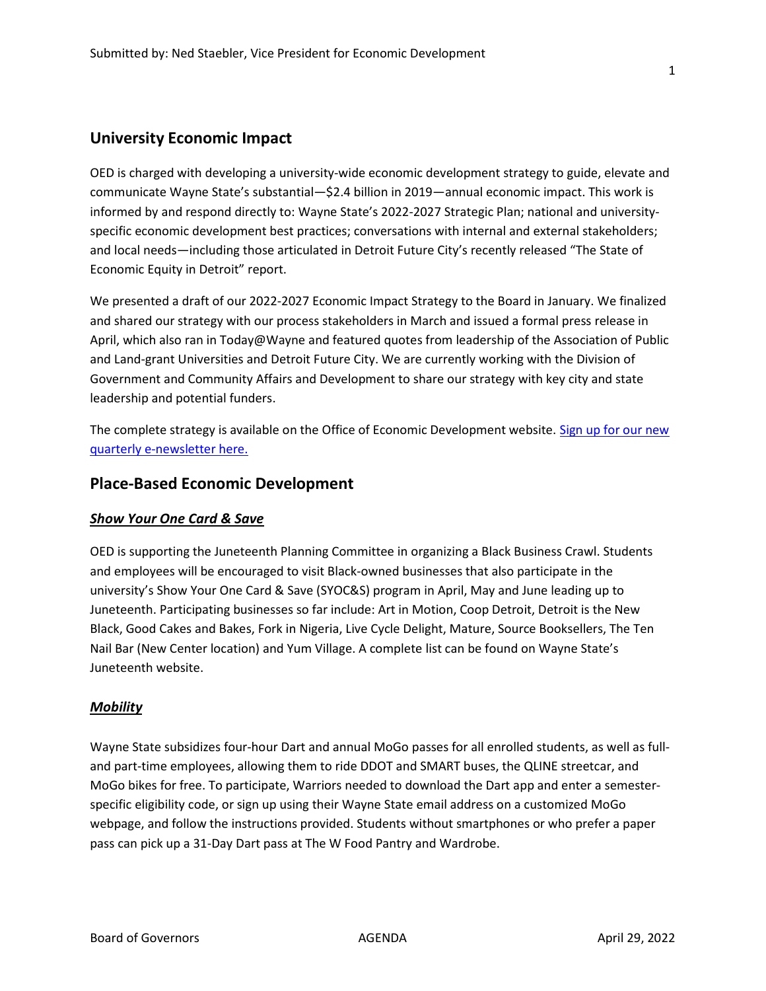# University Economic Impact

OED is charged with developing a university-wide economic development strategy to guide, elevate and communicate Wayne State's substantial—\$2.4 billion in 2019—annual economic impact. This work is informed by and respond directly to: Wayne State's 2022-2027 Strategic Plan; national and universityspecific economic development best practices; conversations with internal and external stakeholders; and local needs—including those articulated in Detroit Future City's recently released "The State of Economic Equity in Detroit" report.

We presented a draft of our 2022-2027 Economic Impact Strategy to the Board in January. We finalized and shared our strategy with our process stakeholders in March and issued a formal press release in April, which also ran in Today@Wayne and featured quotes from leadership of the Association of Public and Land-grant Universities and Detroit Future City. We are currently working with the Division of Government and Community Affairs and Development to share our strategy with key city and state leadership and potential funders.

The complete strategy is available on the Office of Economic Development website. Sign up for our new quarterly e-newsletter here.

# Place-Based Economic Development

## Show Your One Card & Save

OED is supporting the Juneteenth Planning Committee in organizing a Black Business Crawl. Students and employees will be encouraged to visit Black-owned businesses that also participate in the university's Show Your One Card & Save (SYOC&S) program in April, May and June leading up to Juneteenth. Participating businesses so far include: Art in Motion, Coop Detroit, Detroit is the New Black, Good Cakes and Bakes, Fork in Nigeria, Live Cycle Delight, Mature, Source Booksellers, The Ten Nail Bar (New Center location) and Yum Village. A complete list can be found on Wayne State's Juneteenth website.

### **Mobility**

Wayne State subsidizes four-hour Dart and annual MoGo passes for all enrolled students, as well as fulland part-time employees, allowing them to ride DDOT and SMART buses, the QLINE streetcar, and MoGo bikes for free. To participate, Warriors needed to download the Dart app and enter a semesterspecific eligibility code, or sign up using their Wayne State email address on a customized MoGo webpage, and follow the instructions provided. Students without smartphones or who prefer a paper pass can pick up a 31-Day Dart pass at The W Food Pantry and Wardrobe.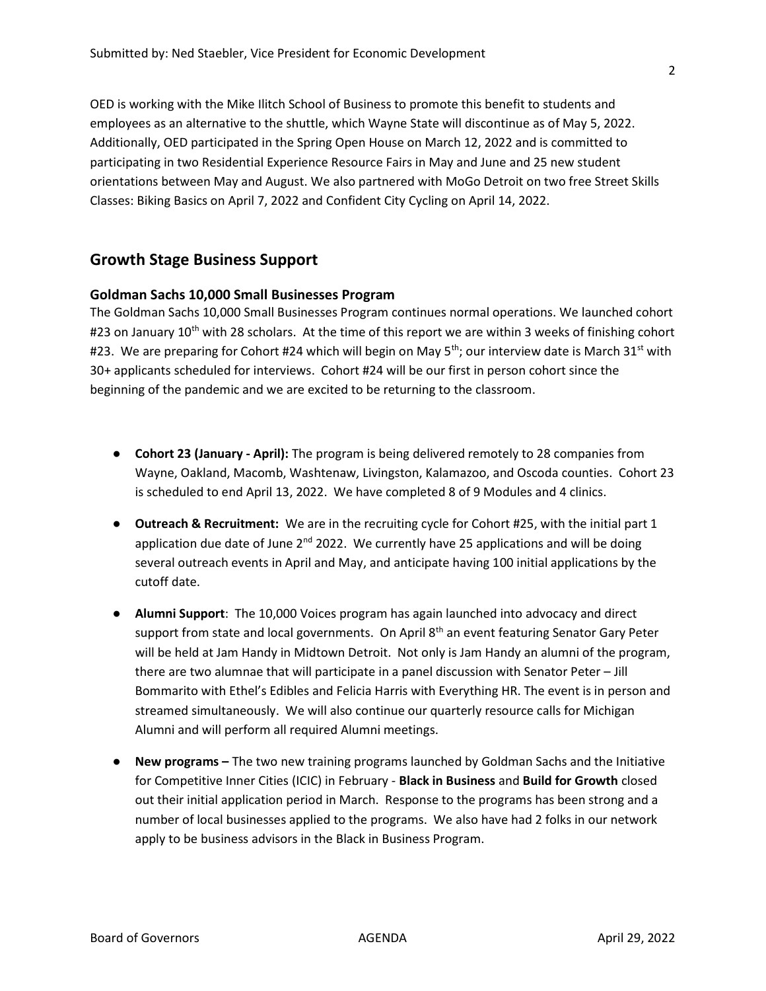OED is working with the Mike Ilitch School of Business to promote this benefit to students and employees as an alternative to the shuttle, which Wayne State will discontinue as of May 5, 2022. Additionally, OED participated in the Spring Open House on March 12, 2022 and is committed to participating in two Residential Experience Resource Fairs in May and June and 25 new student orientations between May and August. We also partnered with MoGo Detroit on two free Street Skills Classes: Biking Basics on April 7, 2022 and Confident City Cycling on April 14, 2022.

# Growth Stage Business Support

### Goldman Sachs 10,000 Small Businesses Program

The Goldman Sachs 10,000 Small Businesses Program continues normal operations. We launched cohort #23 on January 10<sup>th</sup> with 28 scholars. At the time of this report we are within 3 weeks of finishing cohort #23. We are preparing for Cohort #24 which will begin on May  $5<sup>th</sup>$ ; our interview date is March 31<sup>st</sup> with 30+ applicants scheduled for interviews. Cohort #24 will be our first in person cohort since the beginning of the pandemic and we are excited to be returning to the classroom.

- Cohort 23 (January April): The program is being delivered remotely to 28 companies from Wayne, Oakland, Macomb, Washtenaw, Livingston, Kalamazoo, and Oscoda counties. Cohort 23 is scheduled to end April 13, 2022. We have completed 8 of 9 Modules and 4 clinics.
- Outreach & Recruitment: We are in the recruiting cycle for Cohort #25, with the initial part 1 application due date of June 2<sup>nd</sup> 2022. We currently have 25 applications and will be doing several outreach events in April and May, and anticipate having 100 initial applications by the cutoff date.
- Alumni Support: The 10,000 Voices program has again launched into advocacy and direct support from state and local governments. On April 8<sup>th</sup> an event featuring Senator Gary Peter will be held at Jam Handy in Midtown Detroit. Not only is Jam Handy an alumni of the program, there are two alumnae that will participate in a panel discussion with Senator Peter – Jill Bommarito with Ethel's Edibles and Felicia Harris with Everything HR. The event is in person and streamed simultaneously. We will also continue our quarterly resource calls for Michigan Alumni and will perform all required Alumni meetings.
- New programs The two new training programs launched by Goldman Sachs and the Initiative for Competitive Inner Cities (ICIC) in February - Black in Business and Build for Growth closed out their initial application period in March. Response to the programs has been strong and a number of local businesses applied to the programs. We also have had 2 folks in our network apply to be business advisors in the Black in Business Program.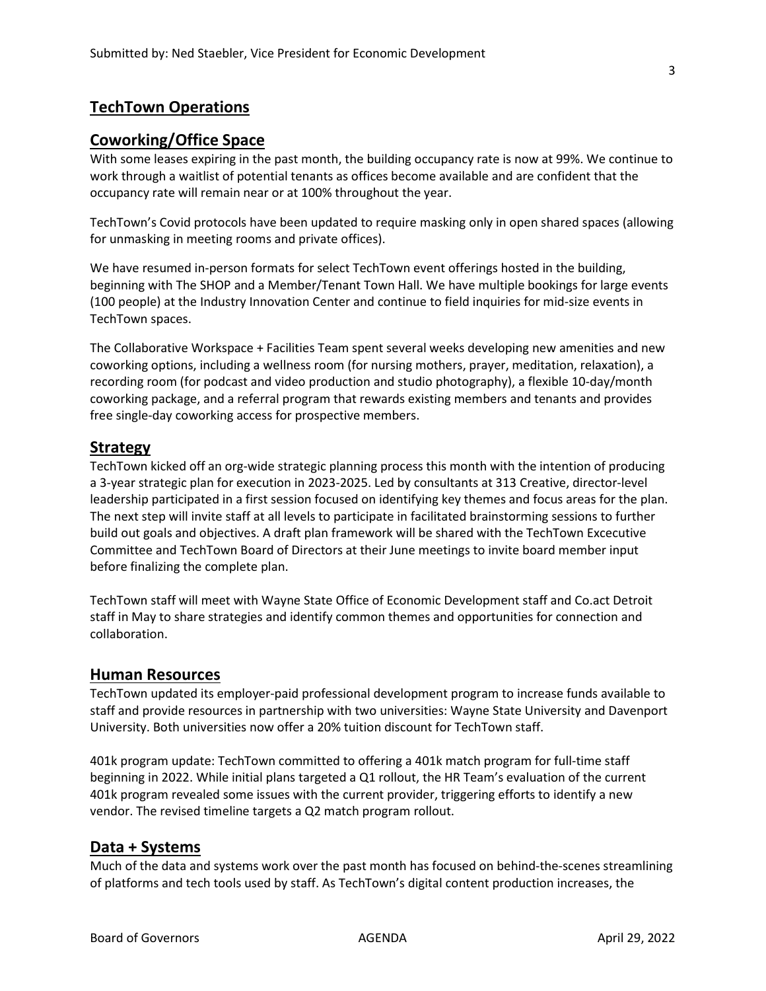# TechTown Operations

# Coworking/Office Space

With some leases expiring in the past month, the building occupancy rate is now at 99%. We continue to work through a waitlist of potential tenants as offices become available and are confident that the occupancy rate will remain near or at 100% throughout the year.

TechTown's Covid protocols have been updated to require masking only in open shared spaces (allowing for unmasking in meeting rooms and private offices).

We have resumed in-person formats for select TechTown event offerings hosted in the building, beginning with The SHOP and a Member/Tenant Town Hall. We have multiple bookings for large events (100 people) at the Industry Innovation Center and continue to field inquiries for mid-size events in TechTown spaces.

The Collaborative Workspace + Facilities Team spent several weeks developing new amenities and new coworking options, including a wellness room (for nursing mothers, prayer, meditation, relaxation), a recording room (for podcast and video production and studio photography), a flexible 10-day/month coworking package, and a referral program that rewards existing members and tenants and provides free single-day coworking access for prospective members.

## Strategy

TechTown kicked off an org-wide strategic planning process this month with the intention of producing a 3-year strategic plan for execution in 2023-2025. Led by consultants at 313 Creative, director-level leadership participated in a first session focused on identifying key themes and focus areas for the plan. The next step will invite staff at all levels to participate in facilitated brainstorming sessions to further build out goals and objectives. A draft plan framework will be shared with the TechTown Excecutive Committee and TechTown Board of Directors at their June meetings to invite board member input before finalizing the complete plan.

TechTown staff will meet with Wayne State Office of Economic Development staff and Co.act Detroit staff in May to share strategies and identify common themes and opportunities for connection and collaboration.

## Human Resources

TechTown updated its employer-paid professional development program to increase funds available to staff and provide resources in partnership with two universities: Wayne State University and Davenport University. Both universities now offer a 20% tuition discount for TechTown staff.

401k program update: TechTown committed to offering a 401k match program for full-time staff beginning in 2022. While initial plans targeted a Q1 rollout, the HR Team's evaluation of the current 401k program revealed some issues with the current provider, triggering efforts to identify a new vendor. The revised timeline targets a Q2 match program rollout.

## Data + Systems

Much of the data and systems work over the past month has focused on behind-the-scenes streamlining of platforms and tech tools used by staff. As TechTown's digital content production increases, the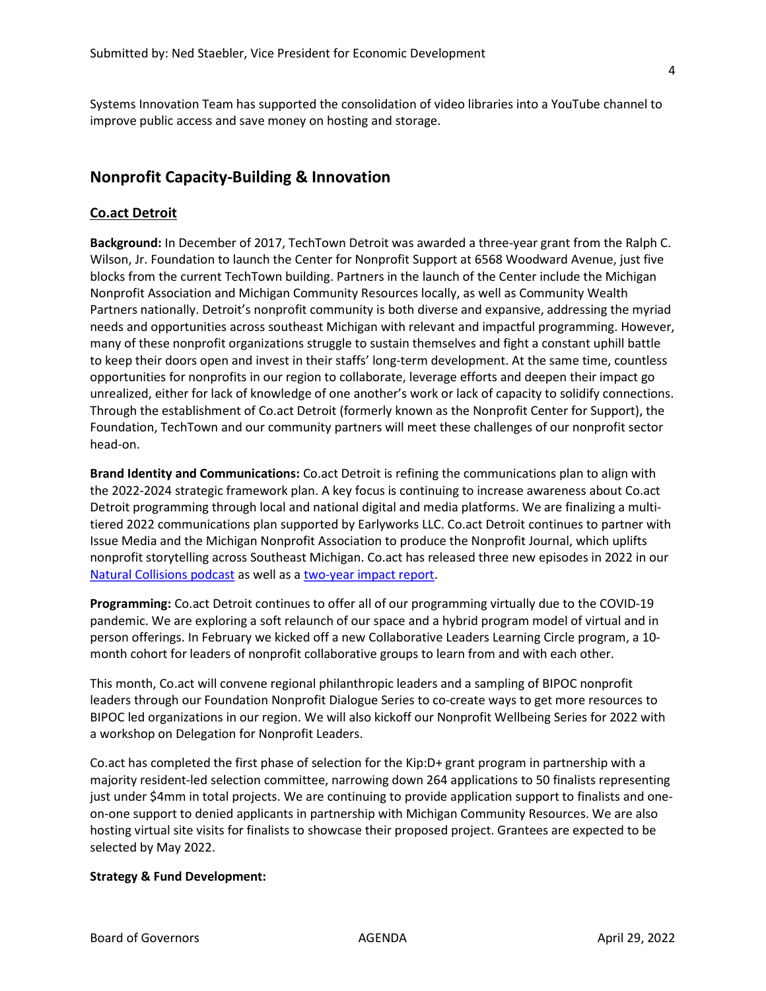Systems Innovation Team has supported the consolidation of video libraries into a YouTube channel to improve public access and save money on hosting and storage.

# Nonprofit Capacity-Building & Innovation

## Co.act Detroit

Background: In December of 2017, TechTown Detroit was awarded a three-year grant from the Ralph C. Wilson, Jr. Foundation to launch the Center for Nonprofit Support at 6568 Woodward Avenue, just five blocks from the current TechTown building. Partners in the launch of the Center include the Michigan Nonprofit Association and Michigan Community Resources locally, as well as Community Wealth Partners nationally. Detroit's nonprofit community is both diverse and expansive, addressing the myriad needs and opportunities across southeast Michigan with relevant and impactful programming. However, many of these nonprofit organizations struggle to sustain themselves and fight a constant uphill battle to keep their doors open and invest in their staffs' long-term development. At the same time, countless opportunities for nonprofits in our region to collaborate, leverage efforts and deepen their impact go unrealized, either for lack of knowledge of one another's work or lack of capacity to solidify connections. Through the establishment of Co.act Detroit (formerly known as the Nonprofit Center for Support), the Foundation, TechTown and our community partners will meet these challenges of our nonprofit sector head-on.

Brand Identity and Communications: Co.act Detroit is refining the communications plan to align with the 2022-2024 strategic framework plan. A key focus is continuing to increase awareness about Co.act Detroit programming through local and national digital and media platforms. We are finalizing a multitiered 2022 communications plan supported by Earlyworks LLC. Co.act Detroit continues to partner with Issue Media and the Michigan Nonprofit Association to produce the Nonprofit Journal, which uplifts nonprofit storytelling across Southeast Michigan. Co.act has released three new episodes in 2022 in our Natural Collisions podcast as well as a two-year impact report.

Programming: Co.act Detroit continues to offer all of our programming virtually due to the COVID-19 pandemic. We are exploring a soft relaunch of our space and a hybrid program model of virtual and in person offerings. In February we kicked off a new Collaborative Leaders Learning Circle program, a 10 month cohort for leaders of nonprofit collaborative groups to learn from and with each other.

This month, Co.act will convene regional philanthropic leaders and a sampling of BIPOC nonprofit leaders through our Foundation Nonprofit Dialogue Series to co-create ways to get more resources to BIPOC led organizations in our region. We will also kickoff our Nonprofit Wellbeing Series for 2022 with a workshop on Delegation for Nonprofit Leaders.

Co.act has completed the first phase of selection for the Kip:D+ grant program in partnership with a majority resident-led selection committee, narrowing down 264 applications to 50 finalists representing just under \$4mm in total projects. We are continuing to provide application support to finalists and oneon-one support to denied applicants in partnership with Michigan Community Resources. We are also hosting virtual site visits for finalists to showcase their proposed project. Grantees are expected to be selected by May 2022.

### Strategy & Fund Development: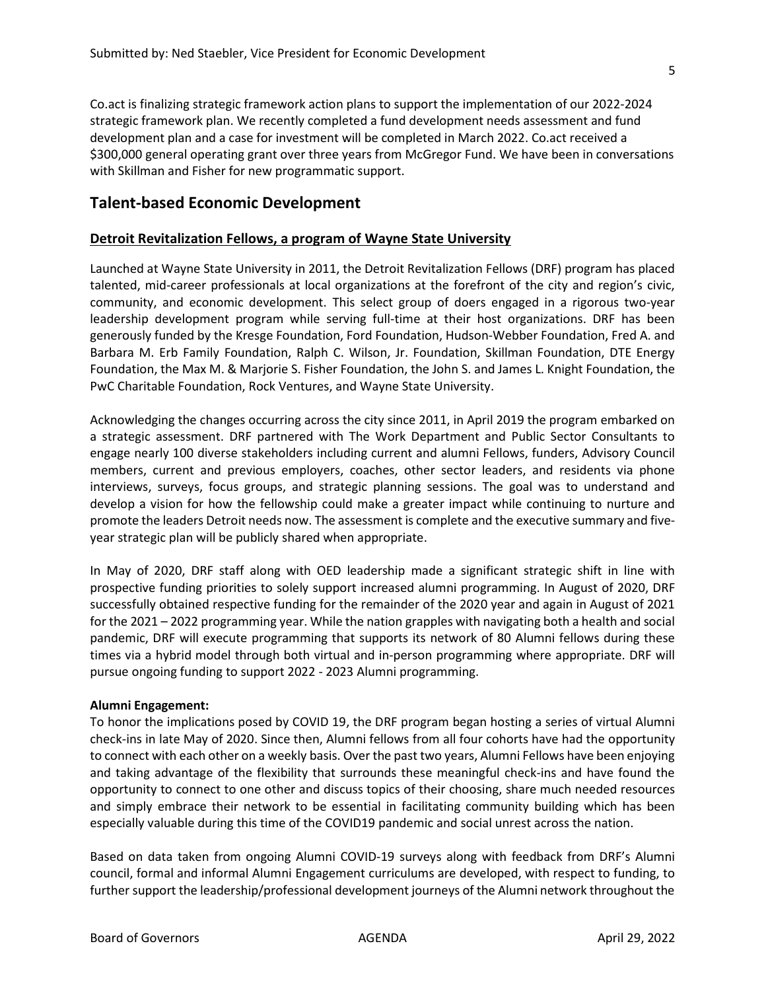Co.act is finalizing strategic framework action plans to support the implementation of our 2022-2024 strategic framework plan. We recently completed a fund development needs assessment and fund development plan and a case for investment will be completed in March 2022. Co.act received a \$300,000 general operating grant over three years from McGregor Fund. We have been in conversations with Skillman and Fisher for new programmatic support.

# Talent-based Economic Development

### Detroit Revitalization Fellows, a program of Wayne State University

Launched at Wayne State University in 2011, the Detroit Revitalization Fellows (DRF) program has placed talented, mid-career professionals at local organizations at the forefront of the city and region's civic, community, and economic development. This select group of doers engaged in a rigorous two-year leadership development program while serving full-time at their host organizations. DRF has been generously funded by the Kresge Foundation, Ford Foundation, Hudson-Webber Foundation, Fred A. and Barbara M. Erb Family Foundation, Ralph C. Wilson, Jr. Foundation, Skillman Foundation, DTE Energy Foundation, the Max M. & Marjorie S. Fisher Foundation, the John S. and James L. Knight Foundation, the PwC Charitable Foundation, Rock Ventures, and Wayne State University.

Acknowledging the changes occurring across the city since 2011, in April 2019 the program embarked on a strategic assessment. DRF partnered with The Work Department and Public Sector Consultants to engage nearly 100 diverse stakeholders including current and alumni Fellows, funders, Advisory Council members, current and previous employers, coaches, other sector leaders, and residents via phone interviews, surveys, focus groups, and strategic planning sessions. The goal was to understand and develop a vision for how the fellowship could make a greater impact while continuing to nurture and promote the leaders Detroit needs now. The assessment is complete and the executive summary and fiveyear strategic plan will be publicly shared when appropriate.

In May of 2020, DRF staff along with OED leadership made a significant strategic shift in line with prospective funding priorities to solely support increased alumni programming. In August of 2020, DRF successfully obtained respective funding for the remainder of the 2020 year and again in August of 2021 for the 2021 – 2022 programming year. While the nation grapples with navigating both a health and social pandemic, DRF will execute programming that supports its network of 80 Alumni fellows during these times via a hybrid model through both virtual and in-person programming where appropriate. DRF will pursue ongoing funding to support 2022 - 2023 Alumni programming.

#### Alumni Engagement:

To honor the implications posed by COVID 19, the DRF program began hosting a series of virtual Alumni check-ins in late May of 2020. Since then, Alumni fellows from all four cohorts have had the opportunity to connect with each other on a weekly basis. Over the past two years, Alumni Fellows have been enjoying and taking advantage of the flexibility that surrounds these meaningful check-ins and have found the opportunity to connect to one other and discuss topics of their choosing, share much needed resources and simply embrace their network to be essential in facilitating community building which has been especially valuable during this time of the COVID19 pandemic and social unrest across the nation.

Based on data taken from ongoing Alumni COVID-19 surveys along with feedback from DRF's Alumni council, formal and informal Alumni Engagement curriculums are developed, with respect to funding, to further support the leadership/professional development journeys of the Alumni network throughout the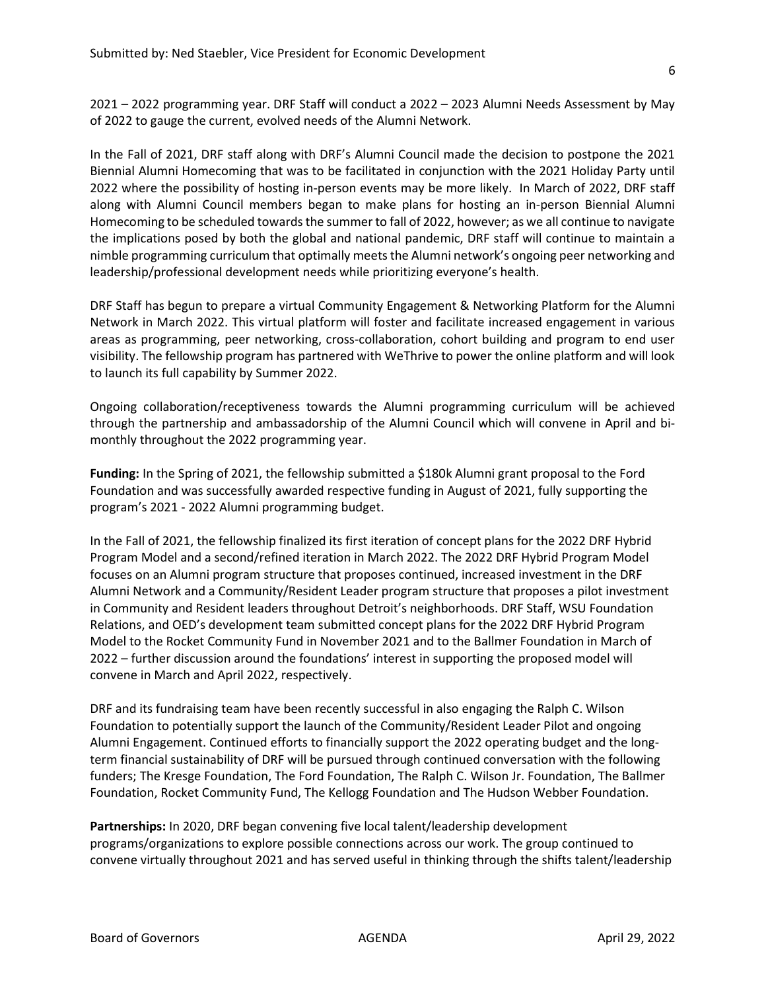2021 – 2022 programming year. DRF Staff will conduct a 2022 – 2023 Alumni Needs Assessment by May of 2022 to gauge the current, evolved needs of the Alumni Network.

In the Fall of 2021, DRF staff along with DRF's Alumni Council made the decision to postpone the 2021 Biennial Alumni Homecoming that was to be facilitated in conjunction with the 2021 Holiday Party until 2022 where the possibility of hosting in-person events may be more likely. In March of 2022, DRF staff along with Alumni Council members began to make plans for hosting an in-person Biennial Alumni Homecoming to be scheduled towards the summer to fall of 2022, however; as we all continue to navigate the implications posed by both the global and national pandemic, DRF staff will continue to maintain a nimble programming curriculum that optimally meets the Alumni network's ongoing peer networking and leadership/professional development needs while prioritizing everyone's health.

DRF Staff has begun to prepare a virtual Community Engagement & Networking Platform for the Alumni Network in March 2022. This virtual platform will foster and facilitate increased engagement in various areas as programming, peer networking, cross-collaboration, cohort building and program to end user visibility. The fellowship program has partnered with WeThrive to power the online platform and will look to launch its full capability by Summer 2022.

Ongoing collaboration/receptiveness towards the Alumni programming curriculum will be achieved through the partnership and ambassadorship of the Alumni Council which will convene in April and bimonthly throughout the 2022 programming year.

Funding: In the Spring of 2021, the fellowship submitted a \$180k Alumni grant proposal to the Ford Foundation and was successfully awarded respective funding in August of 2021, fully supporting the program's 2021 - 2022 Alumni programming budget.

In the Fall of 2021, the fellowship finalized its first iteration of concept plans for the 2022 DRF Hybrid Program Model and a second/refined iteration in March 2022. The 2022 DRF Hybrid Program Model focuses on an Alumni program structure that proposes continued, increased investment in the DRF Alumni Network and a Community/Resident Leader program structure that proposes a pilot investment in Community and Resident leaders throughout Detroit's neighborhoods. DRF Staff, WSU Foundation Relations, and OED's development team submitted concept plans for the 2022 DRF Hybrid Program Model to the Rocket Community Fund in November 2021 and to the Ballmer Foundation in March of 2022 – further discussion around the foundations' interest in supporting the proposed model will convene in March and April 2022, respectively.

DRF and its fundraising team have been recently successful in also engaging the Ralph C. Wilson Foundation to potentially support the launch of the Community/Resident Leader Pilot and ongoing Alumni Engagement. Continued efforts to financially support the 2022 operating budget and the longterm financial sustainability of DRF will be pursued through continued conversation with the following funders; The Kresge Foundation, The Ford Foundation, The Ralph C. Wilson Jr. Foundation, The Ballmer Foundation, Rocket Community Fund, The Kellogg Foundation and The Hudson Webber Foundation.

Partnerships: In 2020, DRF began convening five local talent/leadership development programs/organizations to explore possible connections across our work. The group continued to convene virtually throughout 2021 and has served useful in thinking through the shifts talent/leadership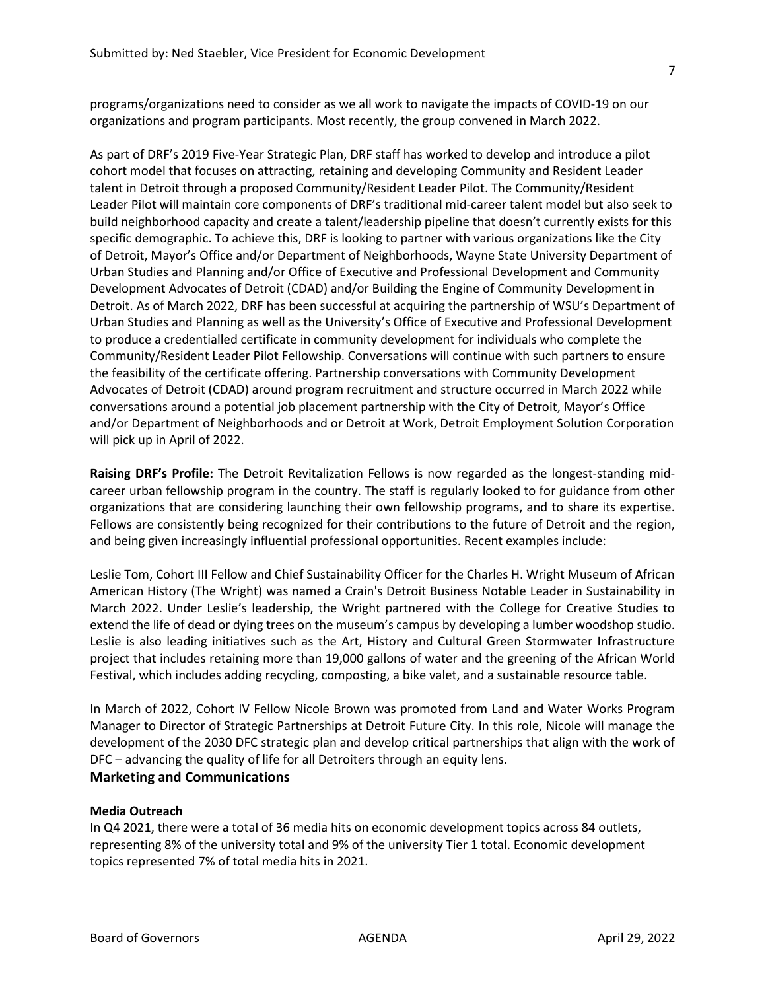programs/organizations need to consider as we all work to navigate the impacts of COVID-19 on our organizations and program participants. Most recently, the group convened in March 2022.

As part of DRF's 2019 Five-Year Strategic Plan, DRF staff has worked to develop and introduce a pilot cohort model that focuses on attracting, retaining and developing Community and Resident Leader talent in Detroit through a proposed Community/Resident Leader Pilot. The Community/Resident Leader Pilot will maintain core components of DRF's traditional mid-career talent model but also seek to build neighborhood capacity and create a talent/leadership pipeline that doesn't currently exists for this specific demographic. To achieve this, DRF is looking to partner with various organizations like the City of Detroit, Mayor's Office and/or Department of Neighborhoods, Wayne State University Department of Urban Studies and Planning and/or Office of Executive and Professional Development and Community Development Advocates of Detroit (CDAD) and/or Building the Engine of Community Development in Detroit. As of March 2022, DRF has been successful at acquiring the partnership of WSU's Department of Urban Studies and Planning as well as the University's Office of Executive and Professional Development to produce a credentialled certificate in community development for individuals who complete the Community/Resident Leader Pilot Fellowship. Conversations will continue with such partners to ensure the feasibility of the certificate offering. Partnership conversations with Community Development Advocates of Detroit (CDAD) around program recruitment and structure occurred in March 2022 while conversations around a potential job placement partnership with the City of Detroit, Mayor's Office and/or Department of Neighborhoods and or Detroit at Work, Detroit Employment Solution Corporation will pick up in April of 2022.

Raising DRF's Profile: The Detroit Revitalization Fellows is now regarded as the longest-standing midcareer urban fellowship program in the country. The staff is regularly looked to for guidance from other organizations that are considering launching their own fellowship programs, and to share its expertise. Fellows are consistently being recognized for their contributions to the future of Detroit and the region, and being given increasingly influential professional opportunities. Recent examples include:

Leslie Tom, Cohort III Fellow and Chief Sustainability Officer for the Charles H. Wright Museum of African American History (The Wright) was named a Crain's Detroit Business Notable Leader in Sustainability in March 2022. Under Leslie's leadership, the Wright partnered with the College for Creative Studies to extend the life of dead or dying trees on the museum's campus by developing a lumber woodshop studio. Leslie is also leading initiatives such as the Art, History and Cultural Green Stormwater Infrastructure project that includes retaining more than 19,000 gallons of water and the greening of the African World Festival, which includes adding recycling, composting, a bike valet, and a sustainable resource table.

In March of 2022, Cohort IV Fellow Nicole Brown was promoted from Land and Water Works Program Manager to Director of Strategic Partnerships at Detroit Future City. In this role, Nicole will manage the development of the 2030 DFC strategic plan and develop critical partnerships that align with the work of DFC – advancing the quality of life for all Detroiters through an equity lens.

## Marketing and Communications

#### Media Outreach

In Q4 2021, there were a total of 36 media hits on economic development topics across 84 outlets, representing 8% of the university total and 9% of the university Tier 1 total. Economic development topics represented 7% of total media hits in 2021.